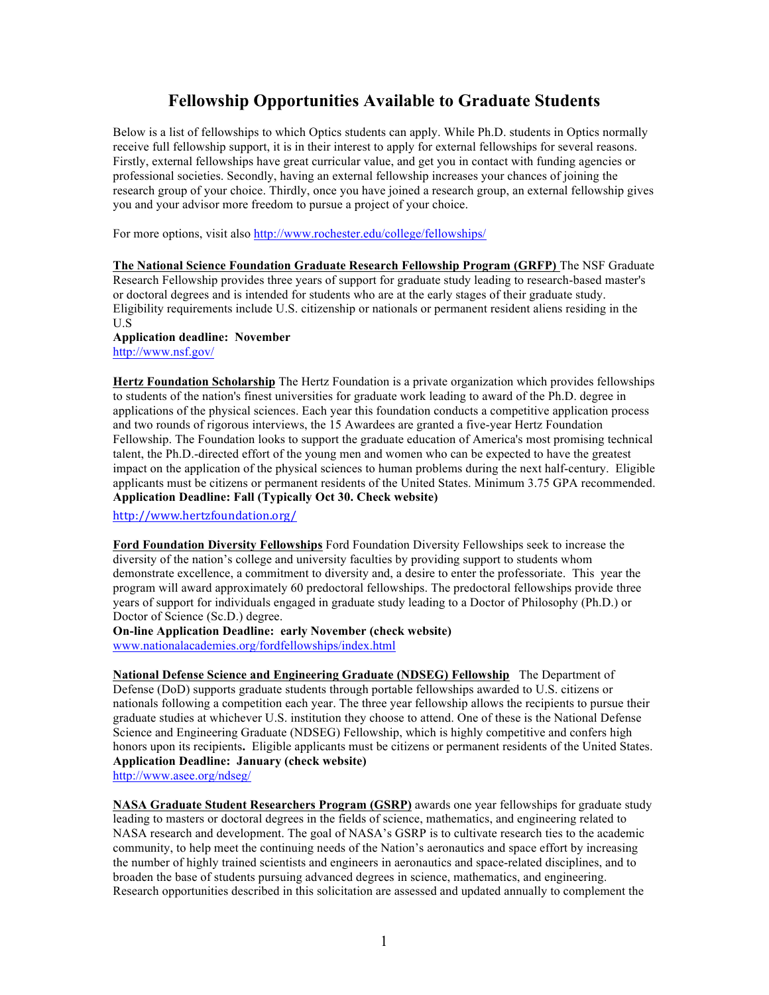# **Fellowship Opportunities Available to Graduate Students**

Below is a list of fellowships to which Optics students can apply. While Ph.D. students in Optics normally receive full fellowship support, it is in their interest to apply for external fellowships for several reasons. Firstly, external fellowships have great curricular value, and get you in contact with funding agencies or professional societies. Secondly, having an external fellowship increases your chances of joining the research group of your choice. Thirdly, once you have joined a research group, an external fellowship gives you and your advisor more freedom to pursue a project of your choice.

For more options, visit also http://www.rochester.edu/college/fellowships/

**The National Science Foundation Graduate Research Fellowship Program (GRFP)** The NSF Graduate Research Fellowship provides three years of support for graduate study leading to research-based master's or doctoral degrees and is intended for students who are at the early stages of their graduate study. Eligibility requirements include U.S. citizenship or nationals or permanent resident aliens residing in the  $U.S$ 

**Application deadline: November** http://www.nsf.gov/

**Hertz Foundation Scholarship** The Hertz Foundation is a private organization which provides fellowships to students of the nation's finest universities for graduate work leading to award of the Ph.D. degree in applications of the physical sciences. Each year this foundation conducts a competitive application process and two rounds of rigorous interviews, the 15 Awardees are granted a five-year Hertz Foundation Fellowship. The Foundation looks to support the graduate education of America's most promising technical talent, the Ph.D.-directed effort of the young men and women who can be expected to have the greatest impact on the application of the physical sciences to human problems during the next half-century.Eligible applicants must be citizens or permanent residents of the United States. Minimum 3.75 GPA recommended. **Application Deadline: Fall (Typically Oct 30. Check website)**

http://www.hertzfoundation.org/

**Ford Foundation Diversity Fellowships** Ford Foundation Diversity Fellowships seek to increase the diversity of the nation's college and university faculties by providing support to students whom demonstrate excellence, a commitment to diversity and, a desire to enter the professoriate. This year the program will award approximately 60 predoctoral fellowships. The predoctoral fellowships provide three years of support for individuals engaged in graduate study leading to a Doctor of Philosophy (Ph.D.) or Doctor of Science (Sc.D.) degree.

**On-line Application Deadline: early November (check website)** www.nationalacademies.org/fordfellowships/index.html

**National Defense Science and Engineering Graduate (NDSEG) Fellowship** The Department of Defense (DoD) supports graduate students through portable fellowships awarded to U.S. citizens or nationals following a competition each year. The three year fellowship allows the recipients to pursue their graduate studies at whichever U.S. institution they choose to attend. One of these is the National Defense Science and Engineering Graduate (NDSEG) Fellowship, which is highly competitive and confers high honors upon its recipients**.** Eligible applicants must be citizens or permanent residents of the United States. **Application Deadline: January (check website)** http://www.asee.org/ndseg/

**NASA Graduate Student Researchers Program (GSRP)** awards one year fellowships for graduate study leading to masters or doctoral degrees in the fields of science, mathematics, and engineering related to NASA research and development. The goal of NASA's GSRP is to cultivate research ties to the academic community, to help meet the continuing needs of the Nation's aeronautics and space effort by increasing the number of highly trained scientists and engineers in aeronautics and space-related disciplines, and to broaden the base of students pursuing advanced degrees in science, mathematics, and engineering. Research opportunities described in this solicitation are assessed and updated annually to complement the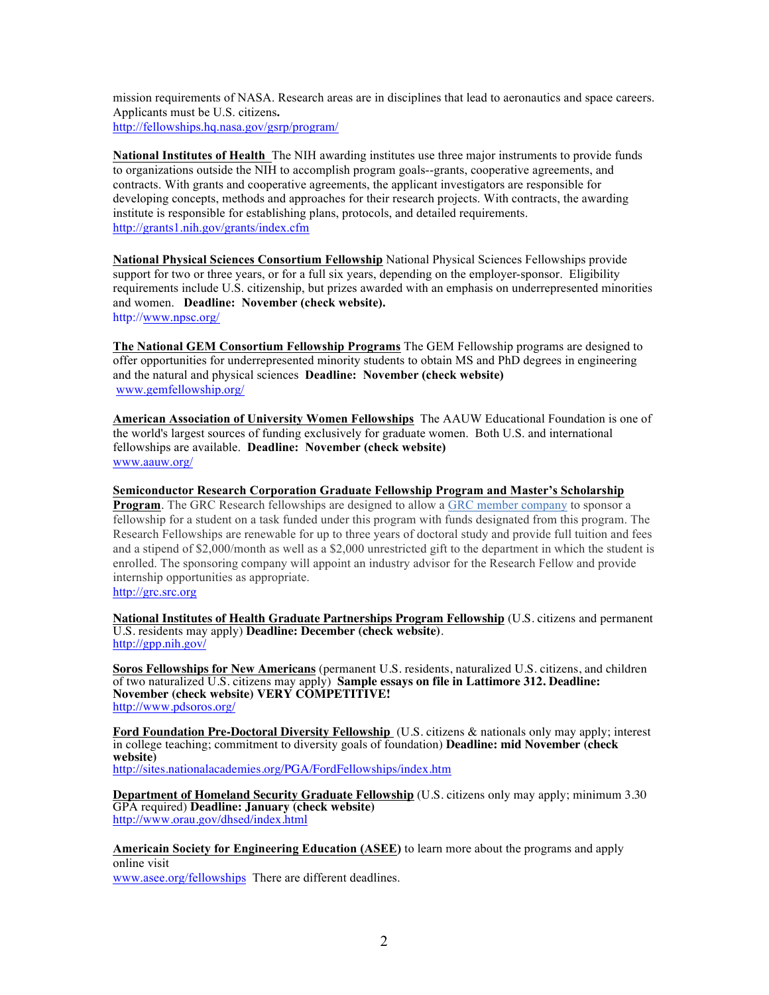mission requirements of NASA. Research areas are in disciplines that lead to aeronautics and space careers. Applicants must be U.S. citizens**.**  http://fellowships.hq.nasa.gov/gsrp/program/

**National Institutes of Health** The NIH awarding institutes use three major instruments to provide funds to organizations outside the NIH to accomplish program goals--grants, cooperative agreements, and contracts. With grants and cooperative agreements, the applicant investigators are responsible for developing concepts, methods and approaches for their research projects. With contracts, the awarding institute is responsible for establishing plans, protocols, and detailed requirements. http://grants1.nih.gov/grants/index.cfm

**National Physical Sciences Consortium Fellowship** National Physical Sciences Fellowships provide support for two or three years, or for a full six years, depending on the employer-sponsor. Eligibility requirements include U.S. citizenship, but prizes awarded with an emphasis on underrepresented minorities and women. **Deadline: November (check website).** http://www.npsc.org/

**The National GEM Consortium Fellowship Programs** The GEM Fellowship programs are designed to offer opportunities for underrepresented minority students to obtain MS and PhD degrees in engineering and the natural and physical sciences **Deadline: November (check website)**  www.gemfellowship.org/

**American Association of University Women Fellowships** The AAUW Educational Foundation is one of the world's largest sources of funding exclusively for graduate women. Both U.S. and international fellowships are available. **Deadline: November (check website)** www.aauw.org/

**Semiconductor Research Corporation Graduate Fellowship Program and Master's Scholarship** 

**Program**. The GRC Research fellowships are designed to allow a GRC member company to sponsor a fellowship for a student on a task funded under this program with funds designated from this program. The Research Fellowships are renewable for up to three years of doctoral study and provide full tuition and fees and a stipend of \$2,000/month as well as a \$2,000 unrestricted gift to the department in which the student is enrolled. The sponsoring company will appoint an industry advisor for the Research Fellow and provide internship opportunities as appropriate.

http://grc.src.org

**National Institutes of Health Graduate Partnerships Program Fellowship** (U.S. citizens and permanent U.S. residents may apply) **Deadline: December (check website)**. http://gpp.nih.gov/

**Soros Fellowships for New Americans** (permanent U.S. residents, naturalized U.S. citizens, and children of two naturalized U.S. citizens may apply) **Sample essays on file in Lattimore 312. Deadline: November (check website) VERY COMPETITIVE!** http://www.pdsoros.org/

**Ford Foundation Pre-Doctoral Diversity Fellowship** (U.S. citizens & nationals only may apply; interest in college teaching; commitment to diversity goals of foundation) **Deadline: mid November (check website)** http://sites.nationalacademies.org/PGA/FordFellowships/index.htm

**Department of Homeland Security Graduate Fellowship** (U.S. citizens only may apply; minimum 3.30 GPA required) **Deadline: January (check website)** http://www.orau.gov/dhsed/index.html

**Americain Society for Engineering Education (ASEE)** to learn more about the programs and apply online visit

www.asee.org/fellowships There are different deadlines.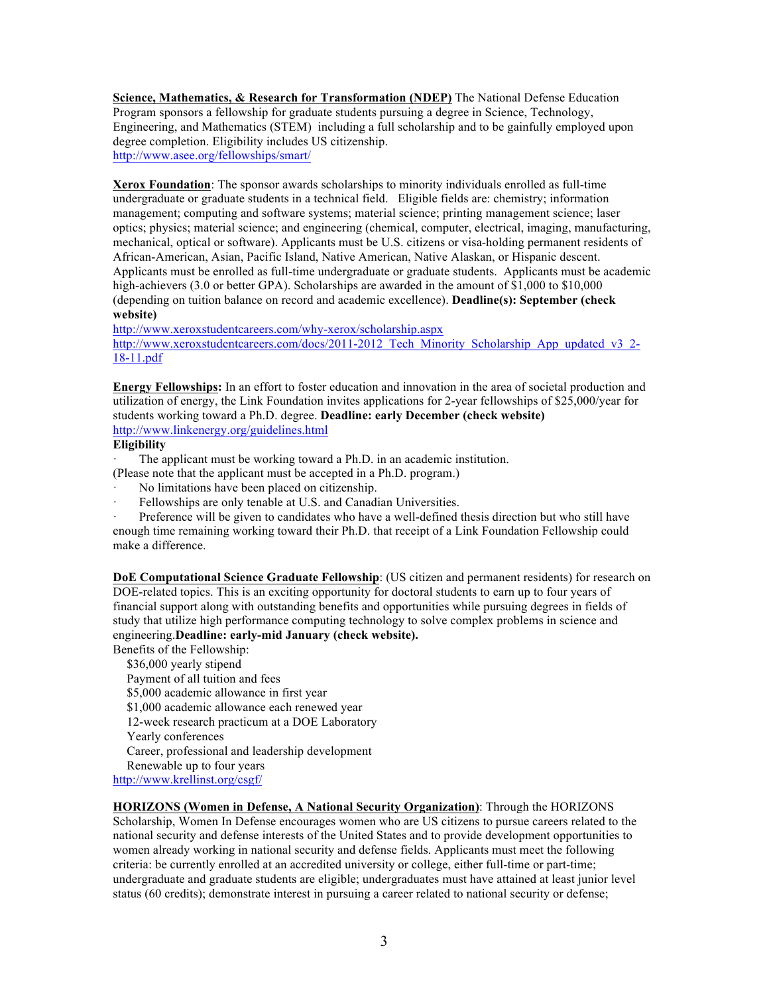**Science, Mathematics, & Research for Transformation (NDEP)** The National Defense Education Program sponsors a fellowship for graduate students pursuing a degree in Science, Technology, Engineering, and Mathematics (STEM) including a full scholarship and to be gainfully employed upon degree completion. Eligibility includes US citizenship. http://www.asee.org/fellowships/smart/

**Xerox Foundation**: The sponsor awards scholarships to minority individuals enrolled as full-time undergraduate or graduate students in a technical field. Eligible fields are: chemistry; information management; computing and software systems; material science; printing management science; laser optics; physics; material science; and engineering (chemical, computer, electrical, imaging, manufacturing, mechanical, optical or software). Applicants must be U.S. citizens or visa-holding permanent residents of African-American, Asian, Pacific Island, Native American, Native Alaskan, or Hispanic descent. Applicants must be enrolled as full-time undergraduate or graduate students. Applicants must be academic high-achievers (3.0 or better GPA). Scholarships are awarded in the amount of \$1,000 to \$10,000 (depending on tuition balance on record and academic excellence). **Deadline(s): September (check website)**

http://www.xeroxstudentcareers.com/why-xerox/scholarship.aspx

http://www.xeroxstudentcareers.com/docs/2011-2012 Tech\_Minority\_Scholarship\_App\_updated\_v3\_2-18-11.pdf

**Energy Fellowships:** In an effort to foster education and innovation in the area of societal production and utilization of energy, the Link Foundation invites applications for 2-year fellowships of \$25,000/year for students working toward a Ph.D. degree. **Deadline: early December (check website)** http://www.linkenergy.org/guidelines.html

#### **Eligibility**

The applicant must be working toward a Ph.D. in an academic institution.

- (Please note that the applicant must be accepted in a Ph.D. program.)
- No limitations have been placed on citizenship.
- Fellowships are only tenable at U.S. and Canadian Universities.

Preference will be given to candidates who have a well-defined thesis direction but who still have enough time remaining working toward their Ph.D. that receipt of a Link Foundation Fellowship could make a difference.

**DoE Computational Science Graduate Fellowship**: (US citizen and permanent residents) for research on DOE-related topics. This is an exciting opportunity for doctoral students to earn up to four years of financial support along with outstanding benefits and opportunities while pursuing degrees in fields of study that utilize high performance computing technology to solve complex problems in science and engineering.**Deadline: early-mid January (check website).**

Benefits of the Fellowship:

\$36,000 yearly stipend Payment of all tuition and fees \$5,000 academic allowance in first year \$1,000 academic allowance each renewed year 12-week research practicum at a DOE Laboratory Yearly conferences Career, professional and leadership development Renewable up to four years http://www.krellinst.org/csgf/

## **HORIZONS (Women in Defense, A National Security Organization)**: Through the HORIZONS

Scholarship, Women In Defense encourages women who are US citizens to pursue careers related to the national security and defense interests of the United States and to provide development opportunities to women already working in national security and defense fields. Applicants must meet the following criteria: be currently enrolled at an accredited university or college, either full-time or part-time; undergraduate and graduate students are eligible; undergraduates must have attained at least junior level status (60 credits); demonstrate interest in pursuing a career related to national security or defense;